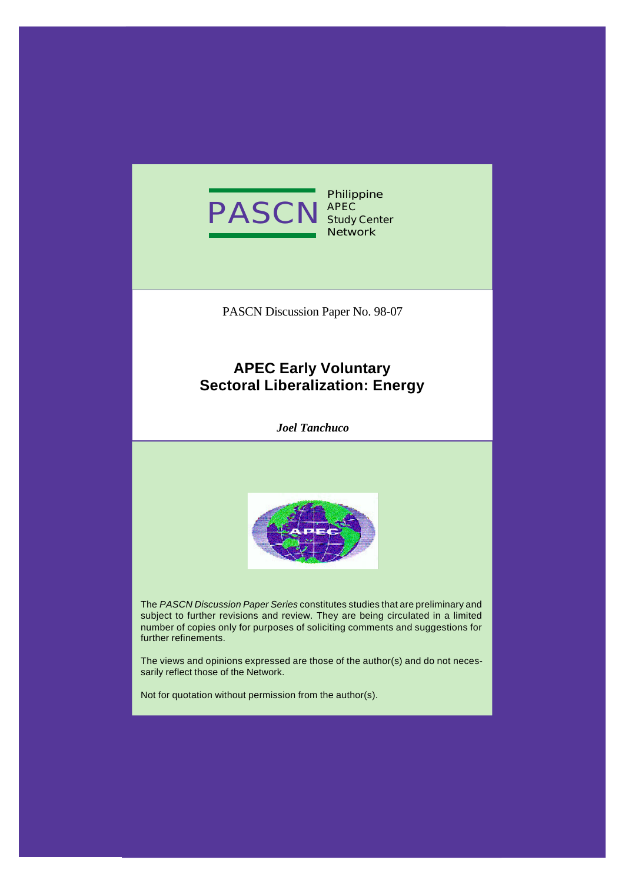

**Philippine APEC Study Center Network**

PASCN Discussion Paper No. 98-07

# **APEC Early Voluntary Sectoral Liberalization: Energy**

*Joel Tanchuco*



The *PASCN Discussion Paper Series* constitutes studies that are preliminary and subject to further revisions and review. They are being circulated in a limited number of copies only for purposes of soliciting comments and suggestions for further refinements.

The views and opinions expressed are those of the author(s) and do not necessarily reflect those of the Network.

Not for quotation without permission from the author(s).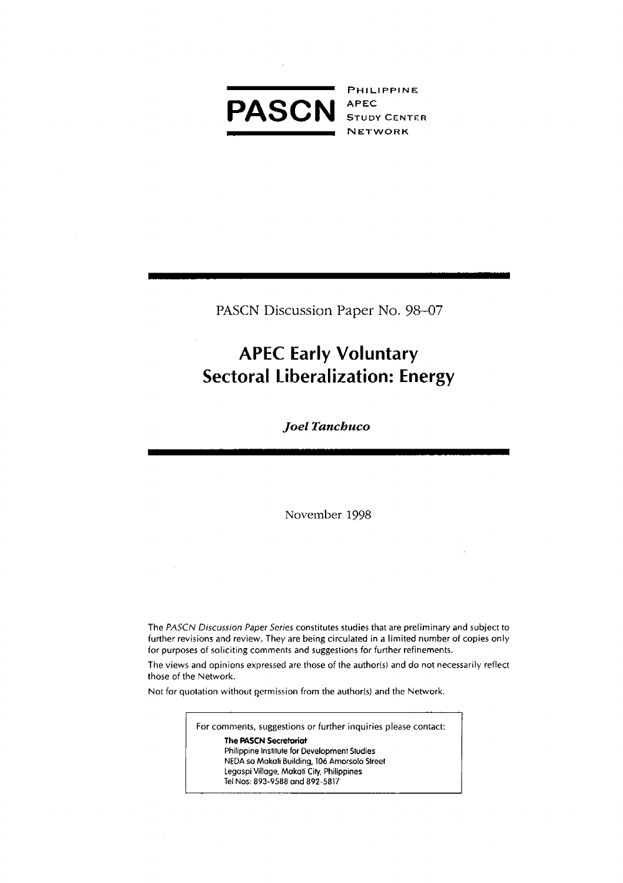

PHILIPPINE **NETWORK** 

PASCN Discussion Paper No. 98-07

# **APEC Early Voluntary Sectoral Liberalization: Energy**

Joel Tanchuco

November 1998

The PASCN Discussion Paper Series constitutes studies that are preliminary and subject to further revisions and review. They are being circulated in a limited number of copies only for purposes of soliciting comments and suggestions for further refinements.

The views and opinions expressed are those of the author(s) and do not necessarily reflect those of the Network.

Not for quotation without permission from the author(s) and the Network.

For comments, suggestions or further inquiries please contact:

The PASCN Secretariat Philippine Institute for Development Studies NEDA sa Makati Building, 106 Amorsolo Street Legaspi Village, Makati City, Philippines Tel Nos: 893-9588 and 892-5817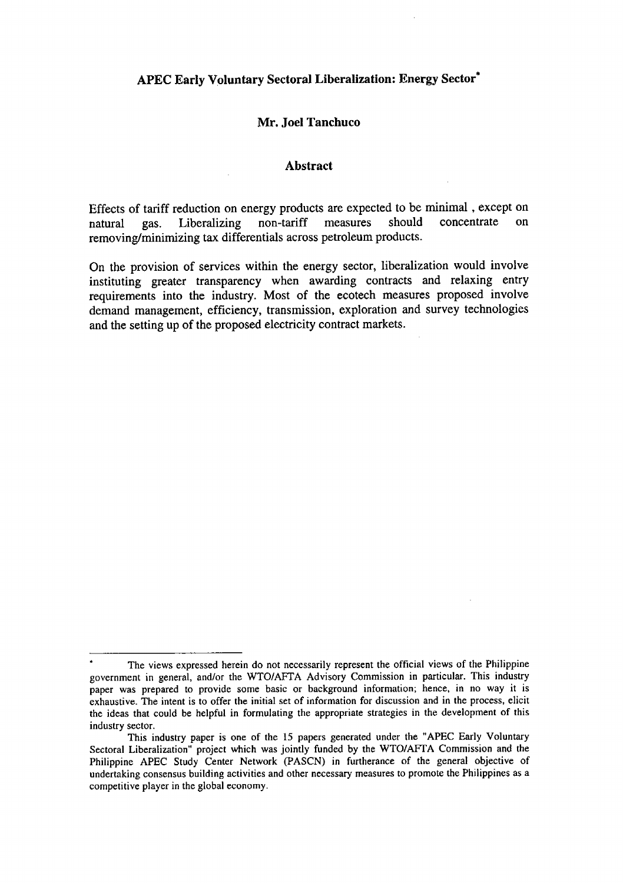# **APEC Early Voluntary Sectoral Liberalization: Energy Sector\***

#### **Mr. Joel Tanchuco**

#### **Abstract**

Effects of tariff reduction on energy products are expected to be minimal, except on natural gas. Liberalizing non-tariff measures should concentrate on natural gas. Liberalizing removing*/*minimizing tax differentials across petroleum products.

On the provision of services within the energy sector, liberalization would involve instituting greater transparency when awarding contracts and relaxing entry requirements into the industry. Most of the ecotech measures proposed involve demand management, efficiency, transmissio**n**, exploration and survey technologies and the setting up of the proposed electricity contract markets.

**<sup>\*</sup>** The views expressed herein do not necessarily represent the official views of the Philippine government in general, and*/*or the WTO*IA*FT*A* Advisory Commission in particular. This industry paper was prepared to provide some basic or backg**r**ound information; hence, in no way it is exhaustive. The intent is to offer the initial set of information for discussion and in the process, elicit the ideas that could be helpful in formulating the appropriate strategies in the development of this industry sector.

This indu**s**try paper is one of the 15 papers generated under the "APEC Early Voluntary Sectoral Liberalization" project which was jointly funded by the WTO*/*A**P**TA Commissio**n** and the Philippine APEC Study Center Network (PASCN) in furtherance of the general objective of undertaking consensus building activities and other necessary measures to promote the Philippines as a competitive player in the global economy.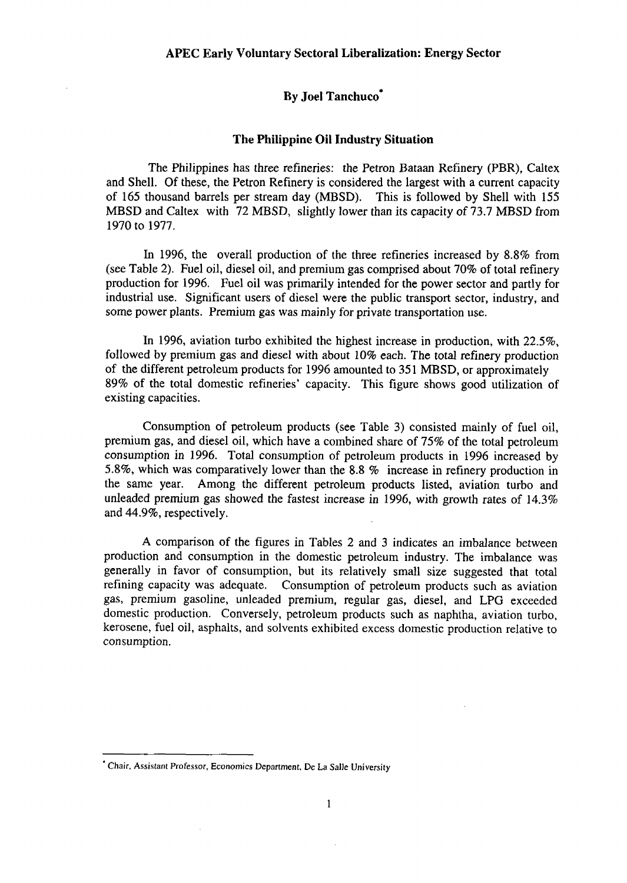## **By Joel Tanehuco\***

#### **The Philippine Oi**l **Industry Situation**

The Philippines has three refineries: the Petron Bataan Refinery (PBR), Caltex and Shell. Of these, the Petron Refinery is considered the largest with a current capacity of 165 thousand barrels per stream day (MBSD). *T*his is followed by Shell with 155 MBSD and *C*altex with 72 MBSD, slightly lower than its capacity of 73.7 MBSD from 1970 to 1977.

In 1996, the overall production of the three re**fi**neries increased by 8.8% from (see Table 2). Fuel oil, diesel oil, and premium gas comprised about 70% of total refinery production for 1996. Fuel oil was primarily intended for the power sector and partly for industrial use. Significant users of diesel were the public transport sector, industry, and some power plants. **P**remium gas was mai**n**ly for pri**v**ate transportation use.

In 1996, aviation turbo exhibited the highest increase in production, with 22.5%, followed by premium gas and diesel with about 10% each. The total refinery production of the different petroleum products for 1996 amounted to 351 MBSD, or approximately 89% of the total domestic refineries' capacity. This figure shows good utilization of existing capacities.

Consumption of petroleum products (see Table 3) consisted mainly of fuel oil, premium gas, and diesel oil, which have a combined share of 75% of the total petroleum consumption in 1996. Total consumption of petroleum products in 1996 increased by 5.8%, which was comparatively lower than the 8.8 % increase in refinery production in the same year. *A*mong the different petroleum products listed, aviation turbo and unleaded premium gas showed the fastest increase in 1996, with growth rates of  $14.3\%$ and 44.9%, respectively.

A comparison of the figures in Tables 2 and 3 indicates an imbalance between production and consumption in the domestic petroleum industry. The imbalance was generally in favor of consu*m*ption, but its relatively small size suggested that total refining capacity was adequate. Consumption of petroleum products such as aviation gas, premium gasoline, unleaded premium, regul**a**r gas, diesel, and LPG exceeded domestic production. Conversely, petroleum products such as naphtha, aviation turbo, kerosene, fuel oil, asphalts, and solvents exhibited excess domestic production relative to consumption.

**<sup>&</sup>quot;**Ch**a**ir, Assista*n*t Pr**o**fesso*r*, E*con***o**mics Dep**a**rt*m*e*nt*, *D*e La Salle University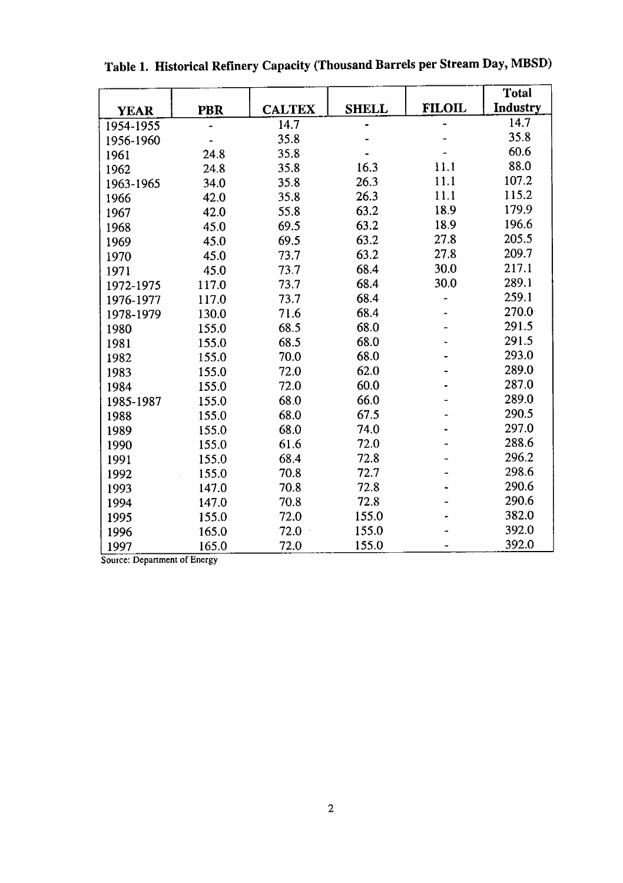|             |            |               |              |               | <b>Total</b> |
|-------------|------------|---------------|--------------|---------------|--------------|
| <b>YEAR</b> | <b>PBR</b> | <b>CALTEX</b> | <b>SHELL</b> | <b>FILOIL</b> | Industry     |
| 1954-1955   |            | 14.7          |              |               | 14.7         |
| 1956-1960   |            | 35.8          |              |               | 35.8         |
| 1961        | 24.8       | 35.8          |              |               | 60.6         |
| 1962        | 24.8       | 35.8          | 16.3         | 11.1          | 88.0         |
| 1963-1965   | 34.0       | 35.8          | 26.3         | 11.1          | 107.2        |
| 1966        | 42.0       | 35.8          | 26.3         | 11.1          | 115.2        |
| 1967        | 42.0       | 55.8          | 63.2         | 18.9          | 179.9        |
| 1968        | 45.0       | 69.5          | 63.2         | 18.9          | 196.6        |
| 1969        | 45.0       | 69.5          | 63.2         | 27.8          | 205.5        |
| 1970        | 45.0       | 73.7          | 63.2         | 27.8          | 209.7        |
| 1971        | 45.0       | 73.7          | 68.4         | 30.0          | 217.1        |
| 1972-1975   | 117.0      | 73.7          | 68.4         | 30.0          | 289.1        |
| 1976-1977   | 117.0      | 73.7          | 68.4         |               | 259.1        |
| 1978-1979   | 130.0      | 71.6          | 68.4         |               | 270.0        |
| 1980        | 155.0      | 68.5          | 68.0         |               | 291.5        |
| 1981        | 155.0      | 68.5          | 68.0         |               | 291.5        |
| 1982        | 155.0      | 70.0          | 68.0         |               | 293.0        |
| 1983        | 155.0      | 72.0          | 62.0         |               | 289.0        |
| 1984        | 155.0      | 72.0          | 60.0         |               | 287.0        |
| 1985-1987   | 155.0      | 68.0          | 66.0         |               | 289.0        |
| 1988        | 155.0      | 68.0          | 67.5         |               | 290.5        |
| 1989        | 155.0      | 68.0          | 74.0         |               | 297.0        |
| 1990        | 155.0      | 61.6          | 72.0         |               | 288.6        |
| 1991        | 155.0      | 68.4          | 72.8         |               | 296.2        |
| 1992        | 155.0      | 70.8          | 72.7         |               | 298.6        |
| 1993        | 147.0      | 70.8          | 72.8         |               | 290.6        |
| 1994        | 147.0      | 70.8          | 72.8         |               | 290.6        |
| 1995        | 155.0      | 72.0          | 155.0        |               | 382.0        |
| 1996        | 165.0      | 72.0          | 155.0        |               | 392.0        |
| 1997        | 165.0      | 72.0          | 155.0        |               | 392.0        |

**Table 1. Historical Refinery Capacity (T**h**ousand Barrels per Stream Day, MBSD)**

Source: Department of E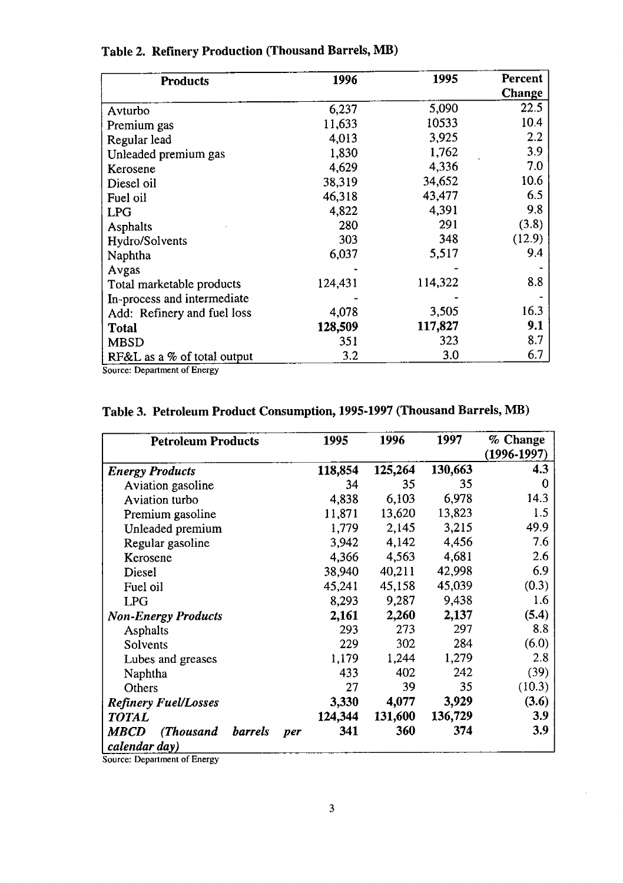| <b>Products</b>             | 1996    | 1995    | Percent |
|-----------------------------|---------|---------|---------|
|                             |         |         | Change  |
| Avturbo                     | 6,237   | 5,090   | 22.5    |
| Premium gas                 | 11,633  | 10533   | 10.4    |
| Regular lead                | 4,013   | 3,925   | 2.2     |
| Unleaded premium gas        | 1,830   | 1,762   | 3.9     |
| Kerosene                    | 4,629   | 4.336   | 7.0     |
| Diesel oil                  | 38,319  | 34,652  | 10.6    |
| Fuel oil                    | 46,318  | 43,477  | 6.5     |
| LPG                         | 4,822   | 4,391   | 9.8     |
| Asphalts                    | 280     | 291     | (3.8)   |
| Hydro/Solvents              | 303     | 348     | (12.9)  |
| Naphtha                     | 6,037   | 5,517   | 9.4     |
| Avgas                       |         |         |         |
| Total marketable products   | 124,431 | 114,322 | 8.8     |
| In-process and intermediate |         |         |         |
| Add: Refinery and fuel loss | 4,078   | 3,505   | 16.3    |
| <b>Total</b>                | 128,509 | 117,827 | 9.1     |
| <b>MBSD</b>                 | 351     | 323     | 8.7     |
| RF&L as a % of total output | 3.2     | 3.0     | 6.7     |

# Table 2. Refinery Production (Thousand Barrels, MB)

Source: Department of Energy

# Table 3. Petroleum Product Consumption, 1995-1997 (Thousand Barrels, MB)

| <b>Petroleum Products</b>                                          | 1995       | 1996    | 1997    | % Change<br>$(1996 - 1997)$ |
|--------------------------------------------------------------------|------------|---------|---------|-----------------------------|
| <b>Energy Products</b>                                             | 118,854    | 125,264 | 130,663 | 4.3                         |
| Aviation gasoline                                                  | 34         | 35      | 35      | 0                           |
| Aviation turbo                                                     | 4,838      | 6,103   | 6,978   | 14.3                        |
| Premium gasoline                                                   | 11,871     | 13,620  | 13,823  | 1.5                         |
| Unleaded premium                                                   | 1.779      | 2,145   | 3,215   | 49.9                        |
| Regular gasoline                                                   | 3,942      | 4,142   | 4,456   | 7.6                         |
| Kerosene                                                           | 4,366      | 4,563   | 4,681   | 2.6                         |
| Diesel                                                             | 38,940     | 40,211  | 42,998  | 6.9                         |
| Fuel oil                                                           | 45,241     | 45,158  | 45,039  | (0.3)                       |
| <b>LPG</b>                                                         | 8,293      | 9,287   | 9,438   | 1.6                         |
| <b>Non-Energy Products</b>                                         | 2,161      | 2,260   | 2,137   | (5.4)                       |
| <b>Asphalts</b>                                                    | 293        | 273     | 297     | 8.8                         |
| Solvents                                                           | 229        | 302     | 284     | (6.0)                       |
| Lubes and greases                                                  | 1,179      | 1,244   | 1,279   | 2.8                         |
| Naphtha                                                            | 433        | 402     | 242     | (39)                        |
| Others                                                             | 27         | 39      | 35      | (10.3)                      |
| <b>Refinery Fuel/Losses</b>                                        | 3,330      | 4,077   | 3,929   | (3.6)                       |
| <b>TOTAL</b>                                                       | 124,344    | 131,600 | 136,729 | 3.9                         |
| (Thousand<br><i><b>MBCD</b></i><br><b>barrels</b><br>calendar day) | 341<br>per | 360     | 374     | 3.9                         |

Source: Department of Energy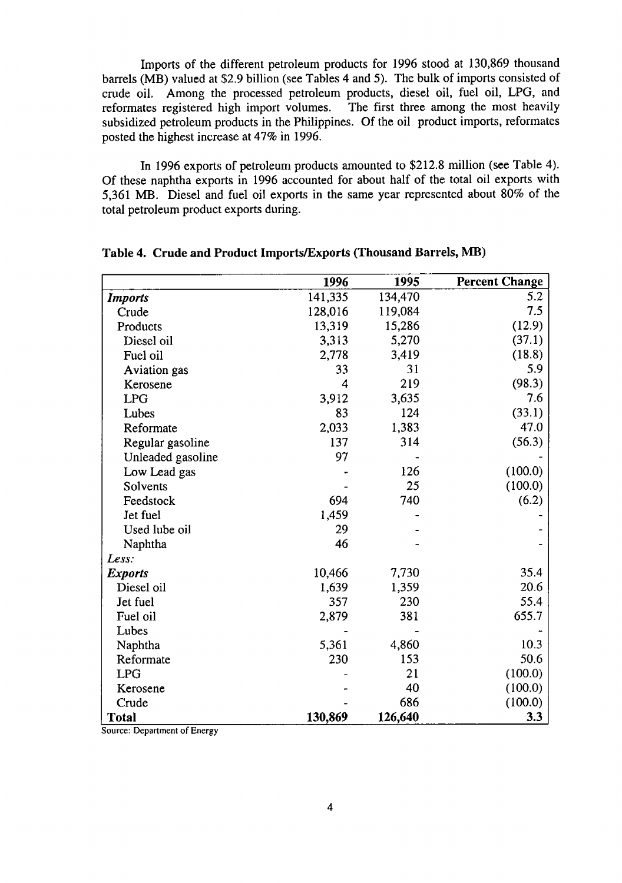Imports of the different petroleum products for 1996 stood at 130,869 thousand barrels (MB) valued at \$2.9 billion (see Tables 4 and 5). The bulk of imports consisted of crude oil. *A*mong the processed petroleum products, diesel oil, fuel oil, LPG, and reformates registered high import volumes. subsidized petroleum products in the Philippines. Of the oil product imports, reformates posted the highest increase at 47% in 1996.

In 1996 exports of petroleum products amounted to \$212.8 million (see Table 4). Of these naphtha exports in 1996 accounted for about half of the total oil exports with 5,361 MB. Diesel and fuel oil exports in the same year represented about 80% of the total petroleum product exports during.

|                               | 1996    | 1995    | <b>Percent Change</b> |
|-------------------------------|---------|---------|-----------------------|
| <b>Imports</b>                | 141,335 | 134,470 | 5.2                   |
| Crude                         | 128,016 | 119,084 | 7.5                   |
| Products                      | 13,319  | 15,286  | (12.9)                |
| Diesel oil                    | 3,313   | 5,270   | (37.1)                |
| Fuel oil                      | 2,778   | 3,419   | (18.8)                |
| Aviation gas                  | 33      | 31      | 5.9                   |
| Kerosene                      | 4       | 219     | (98.3)                |
| <b>LPG</b>                    | 3,912   | 3,635   | 7.6                   |
| Lubes                         | 83      | 124     | (33.1)                |
| Reformate                     | 2,033   | 1,383   | 47.0                  |
| Regular gasoline              | 137     | 314     | (56.3)                |
| Unleaded gasoline             | 97      |         |                       |
| Low Lead gas                  |         | 126     | (100.0)               |
| Solvents                      |         | 25      | (100.0)               |
| Feedstock                     | 694     | 740     | (6.2)                 |
| Jet fuel                      | 1,459   |         |                       |
| Used lube oil                 | 29      |         |                       |
| Naphtha                       | 46      |         |                       |
| Less:                         |         |         |                       |
| <b>Exports</b>                | 10,466  | 7,730   | 35.4                  |
| Diesel oil                    | 1,639   | 1,359   | 20.6                  |
| Jet fuel                      | 357     | 230     | 55.4                  |
| Fuel oil                      | 2,879   | 381     | 655.7                 |
| Lubes                         |         |         |                       |
| Naphtha                       | 5,361   | 4,860   | 10.3                  |
| Reformate                     | 230     | 153     | 50.6                  |
| <b>LPG</b>                    |         | 21      | (100.0)               |
| Kerosene                      |         | 40      | (100.0)               |
| Crude                         |         | 686     | (100.0)               |
| <b>Total</b><br>$\sim$ $\sim$ | 130,869 | 126,640 | 3.3                   |

#### **Table 4. Cr**u**de and** P**roduct** I**mports***/***Exports (Thou**s**and Bar**r**e**l**s, MB)**

So**u**rce: **D**e**par**t**m**e**nt of En**e**rgy**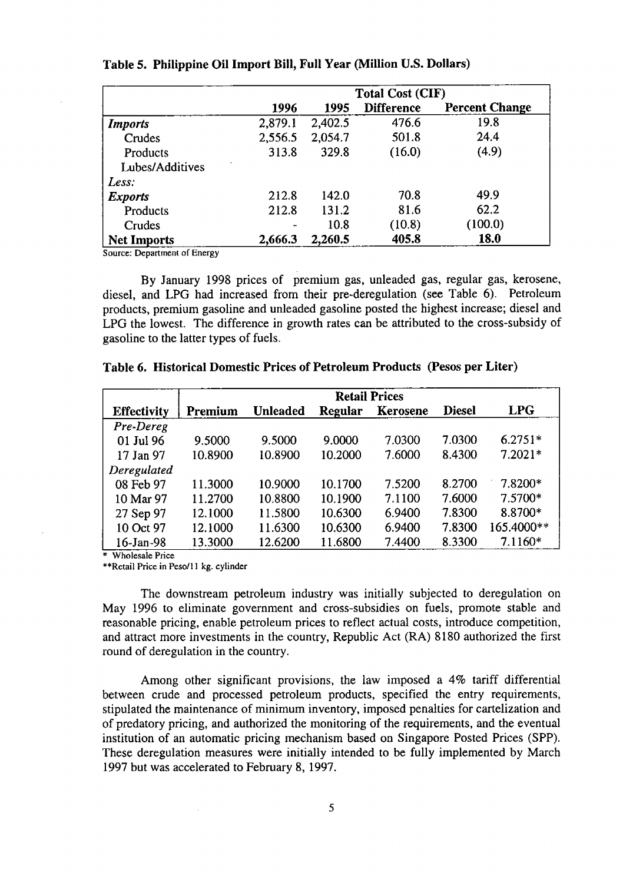|                    | <b>Total Cost (CIF)</b> |         |                   |                       |
|--------------------|-------------------------|---------|-------------------|-----------------------|
|                    | 1996                    | 1995    | <b>Difference</b> | <b>Percent Change</b> |
| <b>Imports</b>     | 2,879.1                 | 2,402.5 | 476.6             | 19.8                  |
| Crudes             | 2,556.5                 | 2,054.7 | 501.8             | 24.4                  |
| Products           | 313.8                   | 329.8   | (16.0)            | (4.9)                 |
| Lubes/Additives    |                         |         |                   |                       |
| Less:              |                         |         |                   |                       |
| <b>Exports</b>     | 212.8                   | 142.0   | 70.8              | 49.9                  |
| Products           | 212.8                   | 131.2   | 81.6              | 62.2                  |
| Crudes             | -                       | 10.8    | (10.8)            | (100.0)               |
| <b>Net Imports</b> | 2,666.3                 | 2,260.5 | 405.8             | 18.0                  |

#### Table 5. Philippine Oil Import Bill, Full Year (Million U.S. Dollars)

Source: Department of Energy

By January 1998 prices of premium gas, unleaded gas, regular gas, kerosene, diesel, and LPG had increased from their pre-deregulation (see Table 6). Petroleum products, premium gasoline and unleaded gasoline posted the highest increase; diesel and LPG the lowest. The difference in growth rates can be attributed to the cross-subsidy of gasoline to the latter types of fuels.

|                    | <b>Retail Prices</b> |                 |                |          |               |            |
|--------------------|----------------------|-----------------|----------------|----------|---------------|------------|
| <b>Effectivity</b> | Premium              | <b>Unleaded</b> | <b>Regular</b> | Kerosene | <b>Diesel</b> | LPG        |
| Pre-Dereg          |                      |                 |                |          |               |            |
| 01 Jul 96          | 9.5000               | 9.5000          | 9.0000         | 7.0300   | 7.0300        | $6.2751*$  |
| 17 Jan 97          | 10.8900              | 10.8900         | 10.2000        | 7.6000   | 8.4300        | $7.2021*$  |
| Deregulated        |                      |                 |                |          |               |            |
| 08 Feb 97          | 11.3000              | 10.9000         | 10.1700        | 7.5200   | 8.2700        | 7.8200*    |
| 10 Mar 97          | 11.2700              | 10.8800         | 10.1900        | 7.1100   | 7.6000        | 7.5700*    |
| 27 Sep 97          | 12.1000              | 11.5800         | 10.6300        | 6.9400   | 7.8300        | 8.8700*    |
| 10 Oct 97          | 12.1000              | 11.6300         | 10.6300        | 6.9400   | 7.8300        | 165.4000** |
| $16$ -Jan-98       | 13.3000              | 12.6200         | 11.6800        | 7.4400   | 8.3300        | $7.1160*$  |

|  |  | Table 6. Historical Domestic Prices of Petroleum Products (Pesos per Liter) |  |  |  |
|--|--|-----------------------------------------------------------------------------|--|--|--|
|--|--|-----------------------------------------------------------------------------|--|--|--|

\* Wholesale Price

\*\*Retail Price in Peso/11 kg. cylinder

The downstream petroleum industry was initially subjected to deregulation on May 1996 to eliminate government and cross-subsidies on fuels, promote stable and reasonable pricing, enable petroleum prices to reflect actual costs, introduce competition, and attract more investments in the country, Republic Act (RA) 8180 authorized the first round of deregulation in the country.

Among other significant provisions, the law imposed a 4% tariff differential between crude and processed petroleum products, specified the entry requirements, stipulated the maintenance of minimum inventory, imposed penalties for cartelization and of predatory pricing, and authorized the monitoring of the requirements, and the eventual institution of an automatic pricing mechanism based on Singapore Posted Prices (SPP). These deregulation measures were initially intended to be fully implemented by March 1997 but was accelerated to February 8, 1997.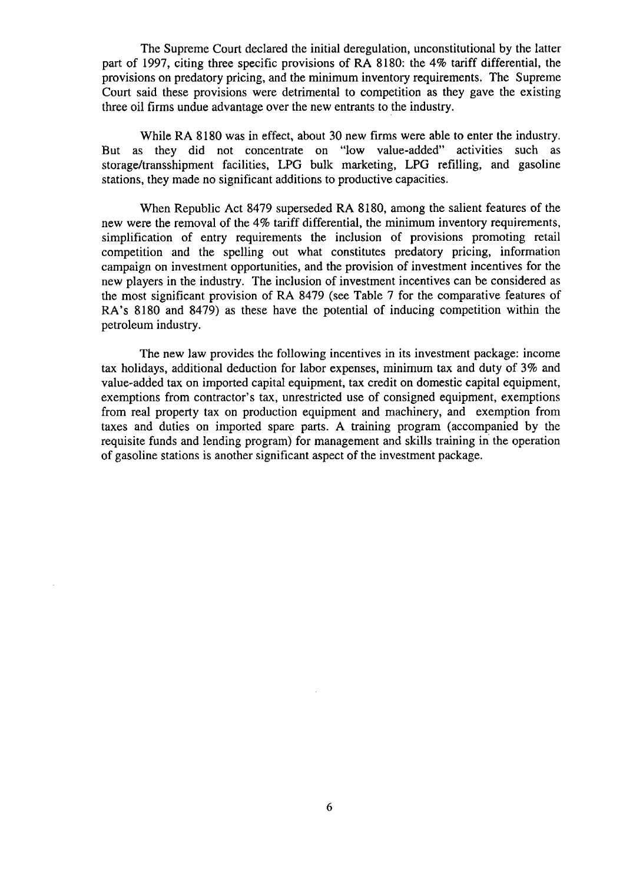The Supreme Court declare**d** the initial deregulation, unconstitutional by the latter part of 1997, citing three specific provisions of RA 8180: the 4% tariff differential, the provisions on predatory pricing, and the minimum inventory requirements. The Supreme Court said these provisions were detrimental to competition as they gave the existing three oil firms undue advantage over the new entrants to the industry.

While RA 8180 was in effect, about 30 new firms were able to enter the industry. But as they did not concentrate on "low value-added" activities such as storage*/*transshipment facilities, LPG bulk marketing, LPG refilling, and gasoline stations, they made no significant additions to productive capacities.

When Republic *A*ct 8479 superseded RA 8180, among the salient features of the new were the removal of the 4% tariff differential, the minimum inventory requirements, simplification of entry requirements the inclusion of provisions promoting retail competition and the spelling out what constitutes predatory pricing, information campaign on investment opportunities, and the provision of investment incentives for the new players in the industry. The inclusion of investment incentives can be considered as the most significant provision of RA 8479 (see Table 7 for the comparative features of RA's 8180 and 8479) as these have the potential of inducing competition within the petroleum industry.

The new law provides the following incentives in its investment package: income tax holidays, additional deduction for labor expenses, minimum tax and duty of 3% and value-added tax on imported capital equipment, tax credit on domestic capital equipment, exemptions from contractor's tax, unrestricted use of consigned equipment, exemptions from real property tax on production equipment and machinery, and exemption from taxes and duties on imported spare parts. A training program (accompanied by the requisite funds and lending program) for management and skills training in the operation of gasoline stations is another significant aspect of the investment package.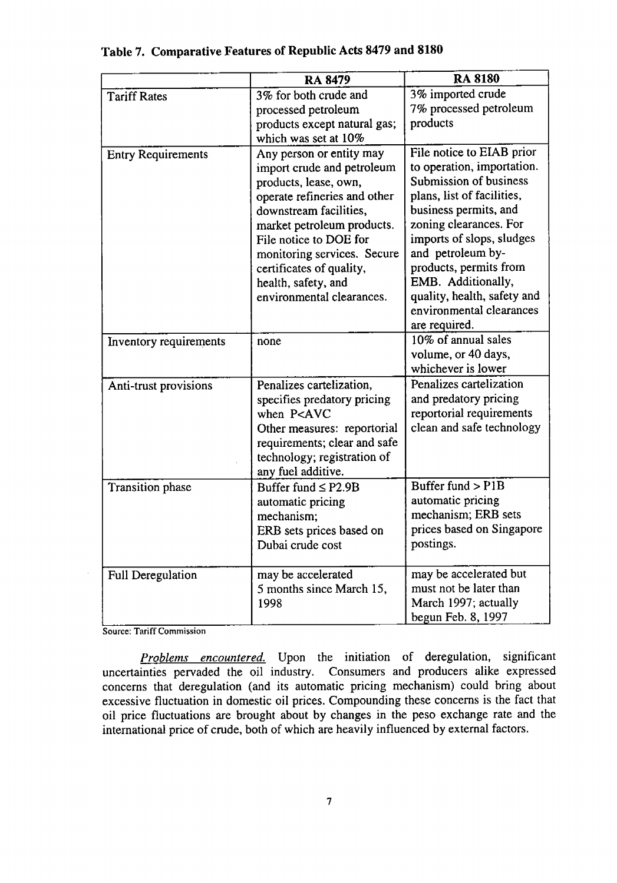|                           | <b>RA 8479</b>                                                                                                                                                                                                                                                                                                   | <b>RA 8180</b>                                                                                                                                                                                                                                                                                                                                   |  |
|---------------------------|------------------------------------------------------------------------------------------------------------------------------------------------------------------------------------------------------------------------------------------------------------------------------------------------------------------|--------------------------------------------------------------------------------------------------------------------------------------------------------------------------------------------------------------------------------------------------------------------------------------------------------------------------------------------------|--|
| <b>Tariff Rates</b>       | 3% for both crude and<br>processed petroleum<br>products except natural gas;<br>which was set at 10%                                                                                                                                                                                                             | 3% imported crude<br>7% processed petroleum<br>products                                                                                                                                                                                                                                                                                          |  |
| <b>Entry Requirements</b> | Any person or entity may<br>import crude and petroleum<br>products, lease, own,<br>operate refineries and other<br>downstream facilities,<br>market petroleum products.<br>File notice to DOE for<br>monitoring services. Secure<br>certificates of quality,<br>health, safety, and<br>environmental clearances. | File notice to EIAB prior<br>to operation, importation.<br>Submission of business<br>plans, list of facilities,<br>business permits, and<br>zoning clearances. For<br>imports of slops, sludges<br>and petroleum by-<br>products, permits from<br>EMB. Additionally,<br>quality, health, safety and<br>environmental clearances<br>are required. |  |
| Inventory requirements    | none                                                                                                                                                                                                                                                                                                             | 10% of annual sales<br>volume, or 40 days,<br>whichever is lower                                                                                                                                                                                                                                                                                 |  |
| Anti-trust provisions     | Penalizes cartelization,<br>specifies predatory pricing<br>when P <avc<br>Other measures: reportorial<br/>requirements; clear and safe<br/>technology; registration of<br/>any fuel additive.</avc<br>                                                                                                           | Penalizes cartelization<br>and predatory pricing<br>reportorial requirements<br>clean and safe technology                                                                                                                                                                                                                                        |  |
| Transition phase          | Buffer fund $\leq$ P2.9B<br>automatic pricing<br>mechanism;<br>ERB sets prices based on<br>Dubai crude cost                                                                                                                                                                                                      | Buffer fund $>$ P1B<br>automatic pricing<br>mechanism; ERB sets<br>prices based on Singapore<br>postings.                                                                                                                                                                                                                                        |  |
| Full Deregulation         | may be accelerated<br>5 months since March 15,<br>1998                                                                                                                                                                                                                                                           | may be accelerated but<br>must not be later than<br>March 1997; actually<br>begun Feb. 8, 1997                                                                                                                                                                                                                                                   |  |

**Table 7. Comparative Feature**s **of Republic Acts 84**7**9 and 8180**

Source: Tariff Commission

*Problems encountered.* Upon the initiation of deregulation, significant uncertainties pervaded the oil industry. Consumers and producers alike expressed concerns that deregulation (and its automatic pricing mechanism) could bring about excessive fluctuation in domestic oil prices. Compounding these concerns is the fact that oil price fluctuations are brought about by changes in the peso exchange rate and the international price of crude, both of which are heavily influenced by external factors.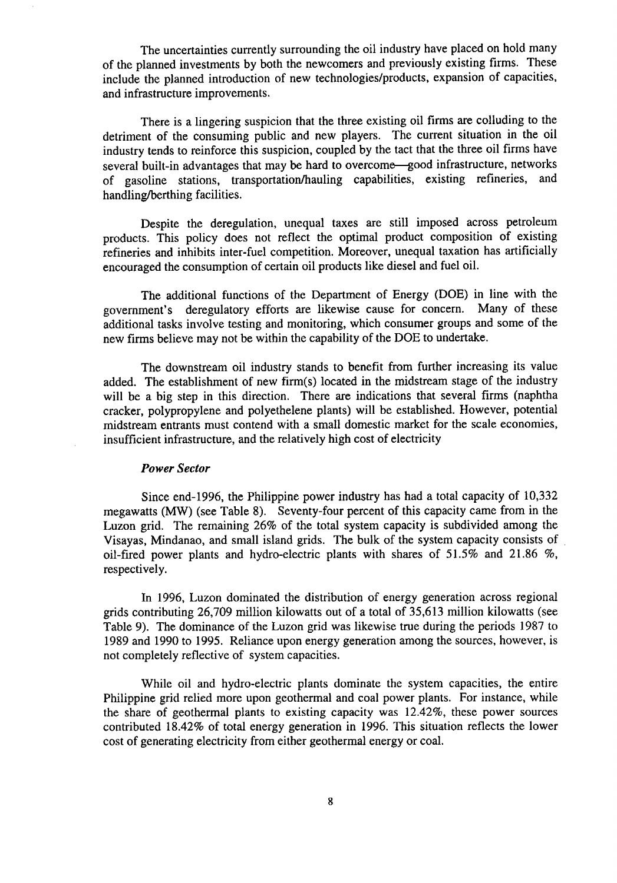The uncertainties currently surrounding the oil industry have placed on hold many of the planned investments by both the newcomers and previously existing firms. These include the planned introduction of new technologies*/*products, expansion of capacities, and infrastructure improvements.

There is a lingering suspicion that the three existing oil firms are colluding to the detriment of the consuming public and new players. The current situation in the oil industry tends to reinforce this suspicion, coupled by the tact that the three oil firms have several built-in advantages that may be hard to overcome—good infrastructure, networks of gasoline stations, transportation*/*hauling capabilities, existing refineries, and handling*/*berthing facilities.

Despite the deregulation, unequal taxes are still imposed across petroleum products. This policy does not reflect the optimal product composition of existing refineries and inhibits inter-fuel competition. Moreover, unequal taxation has artificially encouraged the consumption of certain oil products like diesel and fuel oil.

The additional functions of the Department of Energy (DOE) in line with the government's deregulatory efforts are likewise cause for concern. Many of these additional tasks involve testing and monitoring, which consumer groups and some of the new firms believe may not be within the capability of the DOE to undertake.

The downstream oil industry stands to benefit from further increasing its value added. *T*he establishment of new firm(s) located in the midstream stage of the industry will be a big step in this direction. There are indications that several firms (naphtha cracker, polypropylene and polyethelene plants) will be established. However, potential midstream entrants must contend with a small domestic market for the scale economies, insufficient infrastructure, and the relatively high cost of electricity

## *Power Sector*

Since end-1996, the Philippine power industry has had a total capacity of 10,332 megawatts (MW) (see Table 8). Seventy-four percent of this capacity came from in the Luzon grid. The remaining 26% of the total system capacity is subdivided among the Visayas, Mindanao, and small island grids. The bulk of the system capacity consists of oil-fired power plants and hydro-electric plants with shares of 51.5% and 21.86 %, respectively.

In 1996, Luzon dominated the distribution of energy generation across regional grids contributing 26,709 million kilowatts out of a total of 35,613 million kilowatts (see Table 9). The dominance of the Luzon grid was likewise true during the periods 1987 to 1989 and 1990 to 1995. Reliance upon energy generation among the sources, however, is not completely reflective of system capacities.

While oil and hydro-electric plants dominate the system capacities, the entire Philippine grid relied more upon geothermal and coal power plants. For instance, while the share of geothermal plants to existing capacity was 12.42%, these power sources contributed 18.42% of total energy generation in 1996. This situation reflects the lower cost of generating electricity from either geothermal energy or coal.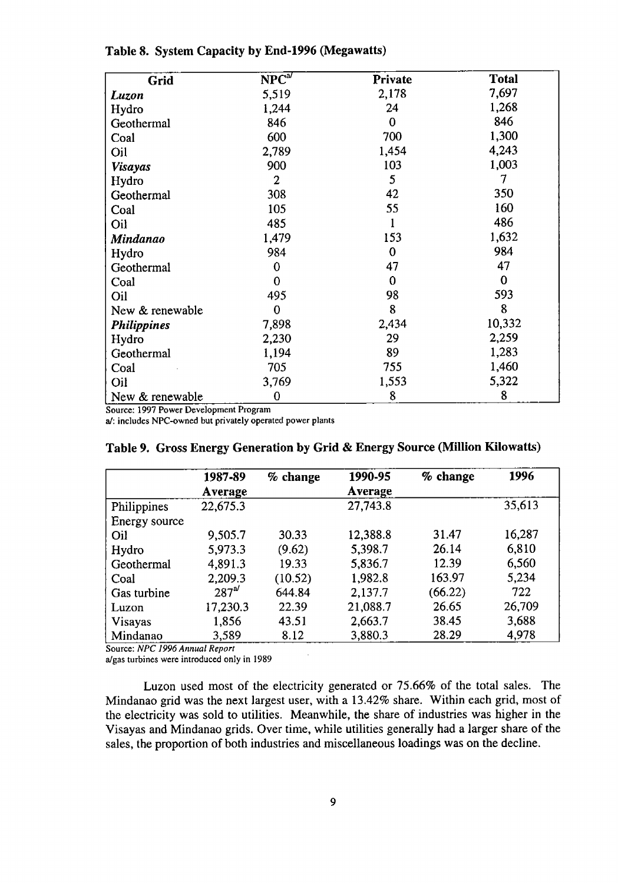| Grid               | $NPC^{a}$ | Private     | <b>Total</b> |
|--------------------|-----------|-------------|--------------|
| Luzon              | 5,519     | 2,178       | 7,697        |
| Hydro              | 1,244     | 24          | 1,268        |
| Geothermal         | 846       | $\bf{0}$    | 846          |
| Coal               | 600       | 700         | 1,300        |
| Oil                | 2,789     | 1,454       | 4,243        |
| <b>Visayas</b>     | 900       | 103         | 1,003        |
| Hydro              | 2         | 5           | 7            |
| Geothermal         | 308       | 42          | 350          |
| Coal               | 105       | 55          | 160          |
| Oil                | 485       |             | 486          |
| <b>Mindanao</b>    | 1,479     | 153         | 1,632        |
| Hydro              | 984       | $\mathbf 0$ | 984          |
| Geothermal         | 0         | 47          | 47           |
| Coal               | 0         | 0           | 0            |
| Oil                | 495       | 98          | 593          |
| New & renewable    | 0         | 8           | 8            |
| <b>Philippines</b> | 7,898     | 2,434       | 10,332       |
| Hydro              | 2,230     | 29          | 2,259        |
| Geothermal         | 1,194     | 89          | 1,283        |
| Coal               | 705       | 755         | 1,460        |
| Oil                | 3,769     | 1,553       | 5,322        |
| New & renewable    | 0         | 8           | 8            |

## **Table 8. System** C**apacity by End-1996 (Megawatts)**

Source: 1997 Power Development Program

a*/*: i**nc**l**ud**e**s** NPC**-o**wned but privately o**p**er**a**ted power plants

|                | 1987-89<br>Average | % change | 1990-95<br>Average | % change | 1996   |
|----------------|--------------------|----------|--------------------|----------|--------|
| Philippines    | 22,675.3           |          | 27,743.8           |          | 35,613 |
| Energy source  |                    |          |                    |          |        |
| Oil            | 9,505.7            | 30.33    | 12,388.8           | 31.47    | 16,287 |
| Hydro          | 5,973.3            | (9.62)   | 5,398.7            | 26.14    | 6,810  |
| Geothermal     | 4,891.3            | 19.33    | 5,836.7            | 12.39    | 6,560  |
| Coal           | 2,209.3            | (10.52)  | 1,982.8            | 163.97   | 5,234  |
| Gas turbine    | $287^{\omega}$     | 644.84   | 2,137.7            | (66.22)  | 722    |
| Luzon          | 17,230.3           | 22.39    | 21,088.7           | 26.65    | 26,709 |
| <b>Visayas</b> | 1,856              | 43.51    | 2,663.7            | 38.45    | 3,688  |
| Mindanao       | 3.589              | 8.12     | 3,880.3            | 28.29    | 4,978  |

**Tab**l**e 9. Gross Energy Genera**t**ion by Grid & Energy Source (Million Kilowatts**)

Source: *NPC 1996 Annual Report*

a*/*gas turbines were introduced only in 1989

Luzon used most of the electricity generated or 75.66% of the total sales. The Mindanao grid was the next largest user, with a 13.42% share. Within each grid, most of the electricity was sold to utilities. Meanwhile, the share of industries was higher in the Visayas and Mindanao grids. Over time, while utilities generally had a larger share of the sales, the proportion of both industries and miscellaneous loadings was on the decline.

 $\sim$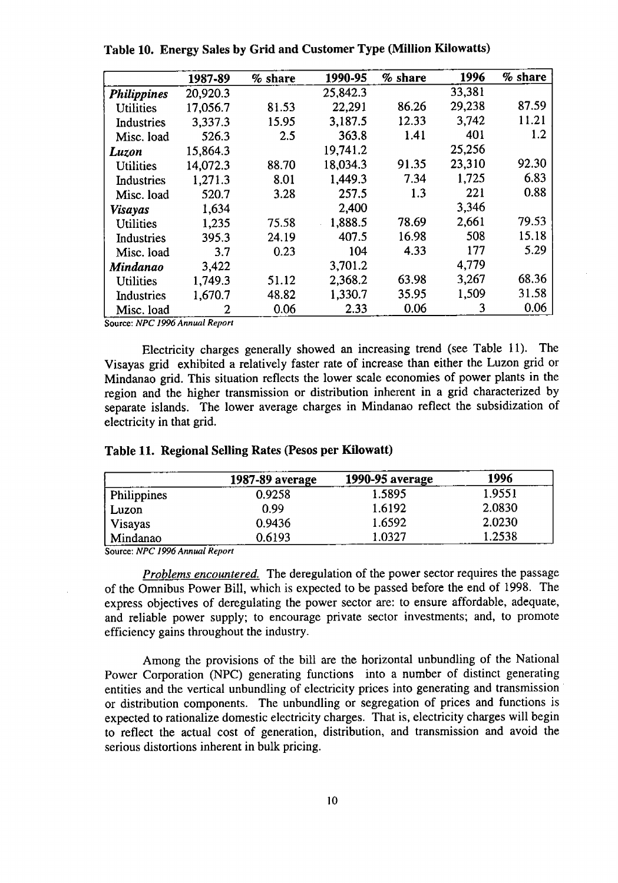|                    | 1987-89        | % share | 1990-95  | % share | 1996   | % share |
|--------------------|----------------|---------|----------|---------|--------|---------|
| <b>Philippines</b> | 20,920.3       |         | 25,842.3 |         | 33,381 |         |
| <b>Utilities</b>   | 17,056.7       | 81.53   | 22,291   | 86.26   | 29,238 | 87.59   |
| Industries         | 3,337.3        | 15.95   | 3,187.5  | 12.33   | 3,742  | 11.21   |
| Misc. load         | 526.3          | 2.5     | 363.8    | 1.41    | 401    | 1.2     |
| Luzon              | 15,864.3       |         | 19,741.2 |         | 25,256 |         |
| <b>Utilities</b>   | 14,072.3       | 88.70   | 18,034.3 | 91.35   | 23,310 | 92.30   |
| Industries         | 1,271.3        | 8.01    | 1,449.3  | 7.34    | 1.725  | 6.83    |
| Misc. load         | 520.7          | 3.28    | 257.5    | 1.3     | 221    | 0.88    |
| Visayas            | 1,634          |         | 2,400    |         | 3,346  |         |
| Utilities          | 1,235          | 75.58   | 1,888.5  | 78.69   | 2,661  | 79.53   |
| Industries         | 395.3          | 24.19   | 407.5    | 16.98   | 508    | 15.18   |
| Misc. load         | 3.7            | 0.23    | 104      | 4.33    | 177    | 5.29    |
| Mindanao           | 3,422          |         | 3,701.2  |         | 4,779  |         |
| <b>Utilities</b>   | 1,749.3        | 51.12   | 2,368.2  | 63.98   | 3,267  | 68.36   |
| Industries         | 1,670.7        | 48.82   | 1,330.7  | 35.95   | 1,509  | 31.58   |
| Misc. load         | $\overline{2}$ | 0.06    | 2.33     | 0.06    | 3      | 0.06    |

**Table** 1**0. Energy Sal**e**s by Grid and** C**ustomer Type (Million Kilowatts)**

S**o**ur**c**e**:** *NPC 1996 Annual Report*

Electricity charges generally showed an increasing trend (see Table 11). The Visayas grid exhibited a relatively faster rate of increase than either the Luzon grid or Mindanao grid. This situation reflects the lower scale economies of power plants in the region and the higher transmission or distribution inherent in a grid characterized by separate islands. The lower average charges in Mindanao reflect the subsidization of electricity in that grid.

| Table 11. Regional Selling Rates (Pesos per Kilowatt) |  |  |
|-------------------------------------------------------|--|--|
|-------------------------------------------------------|--|--|

|                | 1987-89 average | <b>1990-95 average</b> | 1996   |
|----------------|-----------------|------------------------|--------|
| Philippines    | 0.9258          | 1.5895                 | 1.9551 |
| Luzon          | 0.99            | 1.6192                 | 2.0830 |
| <b>Visayas</b> | 0.9436          | 1.6592                 | 2.0230 |
| Mindanao       | 0.6193          | 1.0327                 | 1.2538 |

Source**:** *NPC 1996 Annual Report*

*Problems encountered.* The **d**e**r**e**gulation of t**he **po**we**r** sec**tor r**e**qui**res **t**he **pa**ss**ag**e of the Omnibus Power Bill, which is expected to be passed before the end of 1998. The express objectives of deregulating the power sector are: to ensure affordable, adequate, **and r**e**lia**b**l**e **po**wer **supply**; **to** e**ncourag**e **p**r**iva**te **s**e**ctor inv**est**m**e**nt**s; **and, to promo**te ef**fi**c**i**e**n**c**y gain**s **t**h**roug**h**ou**t **t**he **indu**s**t**r**y**.

**A**m**ong t**he pr**ovi**s**ions of t**he b**ill ar**e the h**ori**z**ontal un**b**undling of t**he **National** Power Corporation (NPC) generating functions into a number of distinct generating entities and the vertical unbundling of electricity prices into generating and transmission **o**r **di**st**ri**b**ution compon**e**n**ts. **T**he **unbundling or** se**gr**e**gation of p**r**i**ces **and fun**c**tions** i**s** expected to rationalize domestic electricity charges. That is, electricity charges will begin **to r**e**fl**ect **t**he **actual** c**o**st **o**f **g**e**n**er**ation**, **dis**t**ribution**, **and transmission and avoid t**he se**rious distortions in**he**r**e**n**t **in** b**ulk pricing**.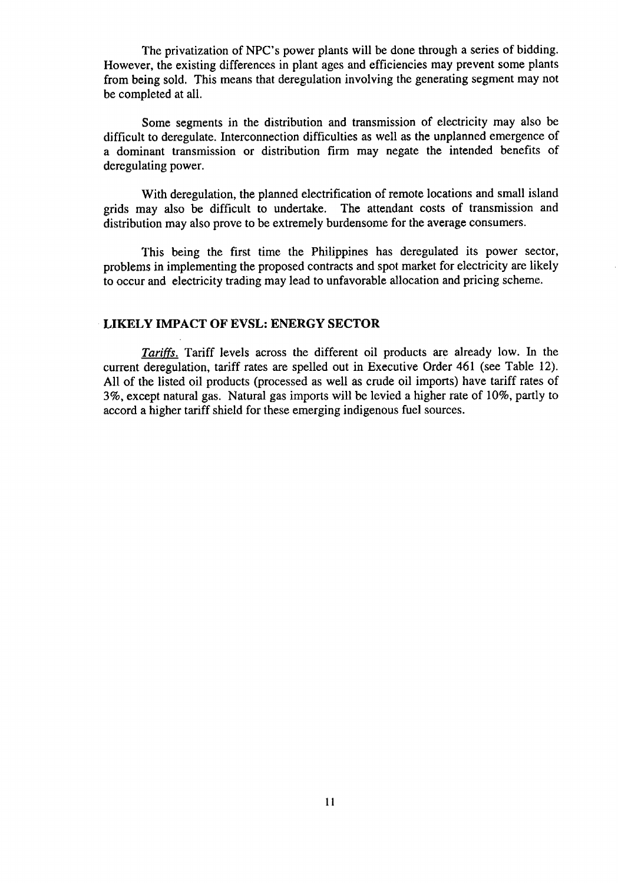The privatization of NPC's power plants will be done through a series of bidding. However, the existing differences in plant ages and efficiencies may prevent some plants from being sold. This means that deregulation involving the generating segment may not be completed at all.

Some segments in the distribution and transmission of electricity may also be difficult to deregulate. Interconnection difficulties as well as the unplanned emergence of a dominant transmission or distribution firm may negate the intended benefits of deregulating power.

With deregulation, the planned electrification of remote locations and small island grids may also be difficult to undertake. The attendant costs of transmission and distribution may also prove to be extremely burdensome for the average consumers.

This being the first time the Philippines has deregulated its power sector, problems in implementing the proposed contracts and spot market for electricity are likely to occur and electricity trading may lead to unfavorable allocation and pricing scheme.

#### •**LIKELY IMPACT** O**F EVSL: ENERGY SECTOR**

*Tariffs,* Tariff levels across the **d**ifferent oil products are alread**y** low. In the current deregulation, tariff rates are spelled out in Executive Order 461 (see Table 12). All of the listed oil products (processed as well as crude oil imports) have tariff rates of 3%, except natural gas. Natural gas imports will be levied a higher rate of 10%, partly to accord a higher tariff shield for these emerging indigenous fuel sources.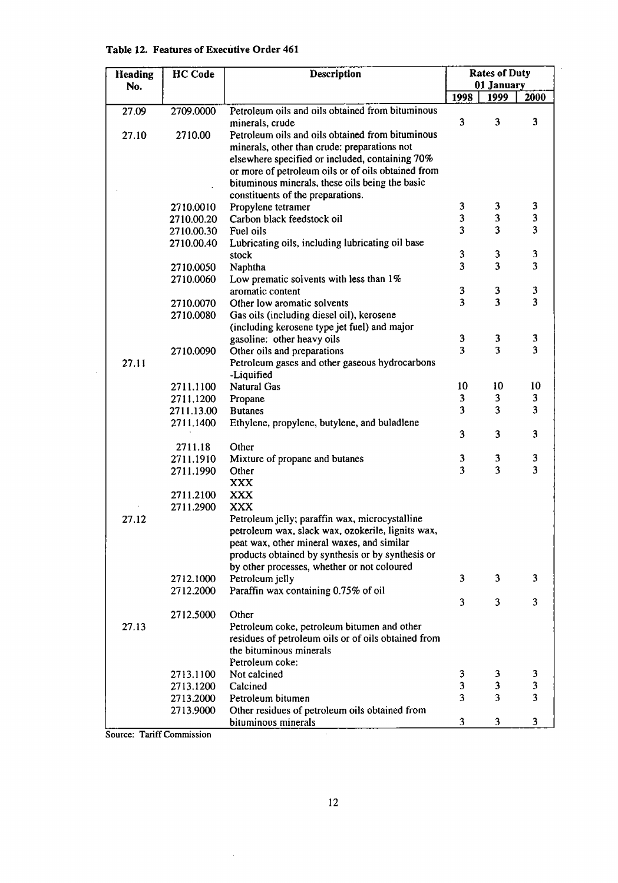| Heading | <b>HC</b> Code | Description                                                                                        |        | <b>Rates of Duty</b>         |                         |  |
|---------|----------------|----------------------------------------------------------------------------------------------------|--------|------------------------------|-------------------------|--|
| No.     |                |                                                                                                    |        | 01 January                   |                         |  |
|         |                |                                                                                                    | 1998   | 1999                         | 2000                    |  |
| 27.09   | 2709.0000      | Petroleum oils and oils obtained from bituminous                                                   |        |                              |                         |  |
|         |                | minerals, crude                                                                                    | 3      | 3                            | 3                       |  |
| 27.10   | 2710.00        | Petroleum oils and oils obtained from bituminous                                                   |        |                              |                         |  |
|         |                | minerals, other than crude: preparations not                                                       |        |                              |                         |  |
|         |                | elsewhere specified or included, containing 70%                                                    |        |                              |                         |  |
|         |                | or more of petroleum oils or of oils obtained from                                                 |        |                              |                         |  |
|         |                | bituminous minerals, these oils being the basic                                                    |        |                              |                         |  |
|         |                | constituents of the preparations.                                                                  |        |                              |                         |  |
|         | 2710.0010      | Propylene tetramer                                                                                 | 3      | 3                            | 3                       |  |
|         | 2710.00.20     | Carbon black feedstock oil                                                                         | 3      | 3                            | 3                       |  |
|         | 2710.00.30     | Fuel oils                                                                                          | 3      | $\overline{\mathbf{3}}$      | 3                       |  |
|         | 2710.00.40     | Lubricating oils, including lubricating oil base                                                   |        |                              |                         |  |
|         |                | stock                                                                                              | 3      | 3                            | 3                       |  |
|         | 2710.0050      | Naphtha                                                                                            | 3      | $\overline{\mathbf{3}}$      | 3                       |  |
|         | 2710.0060      | Low prematic solvents with less than 1%                                                            |        |                              |                         |  |
|         |                | aromatic content                                                                                   | 3<br>3 | 3<br>$\overline{\mathbf{3}}$ | 3<br>3                  |  |
|         | 2710.0070      | Other low aromatic solvents                                                                        |        |                              |                         |  |
|         | 2710.0080      | Gas oils (including diesel oil), kerosene                                                          |        |                              |                         |  |
|         |                | (including kerosene type jet fuel) and major                                                       | 3      | 3                            | 3                       |  |
|         | 2710.0090      | gasoline: other heavy oils<br>Other oils and preparations                                          | 3      | 3                            | $\overline{\mathbf{3}}$ |  |
| 27.11   |                | Petroleum gases and other gaseous hydrocarbons                                                     |        |                              |                         |  |
|         |                | -Liquified                                                                                         |        |                              |                         |  |
|         | 2711.1100      | <b>Natural Gas</b>                                                                                 | 10     | 10                           | 10                      |  |
|         | 2711.1200      | Propane                                                                                            | 3      | 3                            | 3                       |  |
|         | 2711.13.00     | <b>Butanes</b>                                                                                     | 3      | 3                            | 3                       |  |
|         | 2711.1400      | Ethylene, propylene, butylene, and buladlene                                                       |        |                              |                         |  |
|         |                |                                                                                                    | 3      | 3                            | 3                       |  |
|         | 2711.18        | Other                                                                                              |        |                              |                         |  |
|         | 2711.1910      | Mixture of propane and butanes                                                                     | 3      | 3                            | 3                       |  |
|         | 2711.1990      | Other                                                                                              | 3      | $\overline{\mathbf{3}}$      | $\overline{\mathbf{3}}$ |  |
|         |                | <b>XXX</b>                                                                                         |        |                              |                         |  |
|         | 2711.2100      | <b>XXX</b>                                                                                         |        |                              |                         |  |
|         | 2711.2900      | <b>XXX</b>                                                                                         |        |                              |                         |  |
| 27.12   |                | Petroleum jelly; paraffin wax, microcystalline                                                     |        |                              |                         |  |
|         |                | petroleum wax, slack wax, ozokerile, lignits wax,                                                  |        |                              |                         |  |
|         |                | peat wax, other mineral waxes, and similar                                                         |        |                              |                         |  |
|         |                | products obtained by synthesis or by synthesis or                                                  |        |                              |                         |  |
|         |                | by other processes, whether or not coloured                                                        |        |                              |                         |  |
|         | 2712.1000      | Petroleum jelly                                                                                    | 3      | 3                            | 3                       |  |
|         | 2712.2000      | Paraffin wax containing 0.75% of oil                                                               |        |                              |                         |  |
|         |                |                                                                                                    | 3      | 3                            | 3                       |  |
|         | 2712.5000      | Other                                                                                              |        |                              |                         |  |
| 27.13   |                | Petroleum coke, petroleum bitumen and other<br>residues of petroleum oils or of oils obtained from |        |                              |                         |  |
|         |                | the bituminous minerals                                                                            |        |                              |                         |  |
|         |                | Petroleum coke:                                                                                    |        |                              |                         |  |
|         | 2713.1100      | Not calcined                                                                                       | 3      | 3                            | 3                       |  |
|         | 2713.1200      | Calcined                                                                                           | 3      | 3                            | 3                       |  |
|         | 2713.2000      | Petroleum bitumen                                                                                  | 3      | 3                            | $\overline{\mathbf{3}}$ |  |
|         | 2713.9000      | Other residues of petroleum oils obtained from                                                     |        |                              |                         |  |
|         |                | bituminous minerals                                                                                | 3      | 3                            | 3                       |  |

## Table 12. Features of Executive Order 461

Source: Tariff Commission

 $\bar{z}$ 

Ţ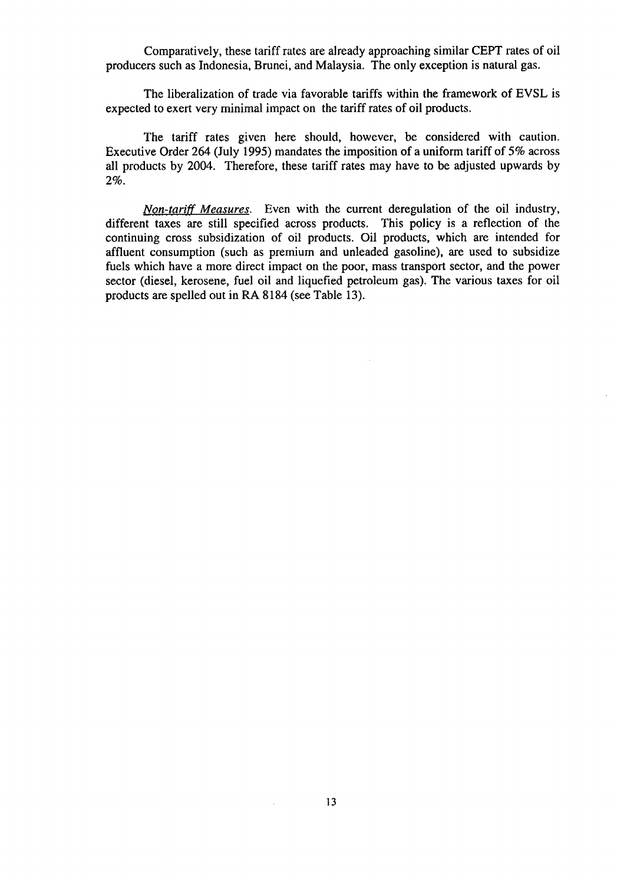Comparatively, these tariff rates are already approaching similar CEPT rates of oil producers such as Indonesia, Brunei, and Malaysia. The only exception is natural gas.

**T**he liberalization of trade via favorable tariffs within the framew**o**rk **o**f EVSL is expected to exert very minimal impact on the tariff rates of oil products.

The tariff rates given here should, however, be considered with caution. Executive Order 264 (July 1995) mandates the imposition of a uniform tariff of 5% across all products by 2004. Therefore, these tariff rates may have to be adjusted upwards by 2%.

*Non-tariff Measures.* Even with the current deregulation of the oil industry, different taxes are still specified across products. This policy is a reflection of the continuing cross subsidization of oil products. Oil products, which are intended for affluent consumption (such as premium and unleaded gasoline), are used to subsidize fuels which have a more direct impact on the poor, mass transport sector, and the power sector (diesel, kerosene, fuel oil and liquefied petroleum gas). The various taxes for oil products are spelled out in RA 8184 (see Table 13).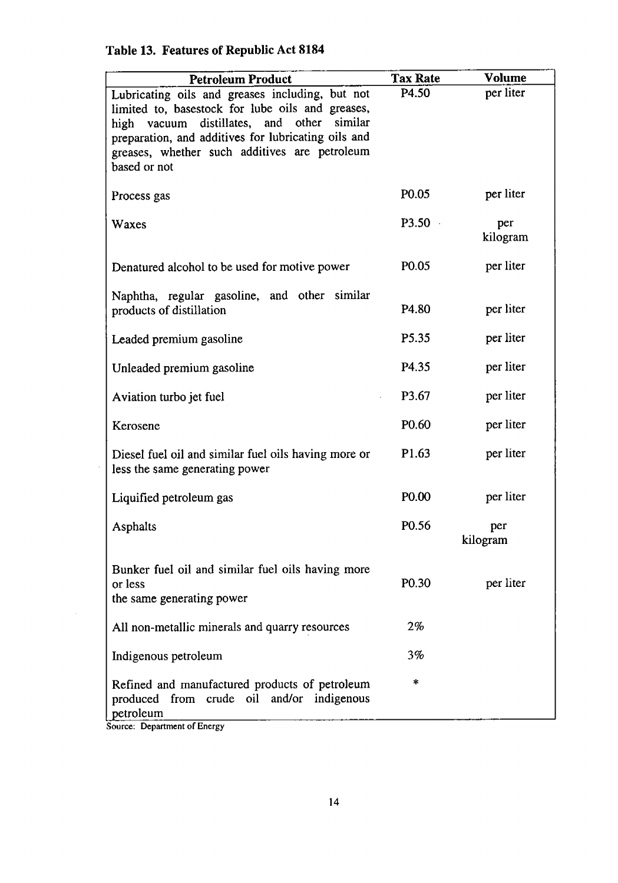| <b>Petroleum Product</b>                                                                                                                                                                                                                                                  | <b>Tax Rate</b>   | <b>Volume</b>   |
|---------------------------------------------------------------------------------------------------------------------------------------------------------------------------------------------------------------------------------------------------------------------------|-------------------|-----------------|
| Lubricating oils and greases including, but not<br>limited to, basestock for lube oils and greases,<br>high vacuum distillates, and other similar<br>preparation, and additives for lubricating oils and<br>greases, whether such additives are petroleum<br>based or not | P4.50             | per liter       |
| Process gas                                                                                                                                                                                                                                                               | P <sub>0.05</sub> | per liter       |
| Waxes                                                                                                                                                                                                                                                                     | P3.50             | per<br>kilogram |
| Denatured alcohol to be used for motive power                                                                                                                                                                                                                             | P <sub>0.05</sub> | per liter       |
| Naphtha, regular gasoline, and other similar<br>products of distillation                                                                                                                                                                                                  | P <sub>4.80</sub> | per liter       |
| Leaded premium gasoline                                                                                                                                                                                                                                                   | P5.35             | per liter       |
| Unleaded premium gasoline                                                                                                                                                                                                                                                 | P4.35             | per liter       |
| Aviation turbo jet fuel                                                                                                                                                                                                                                                   | P3.67             | per liter       |
| Kerosene                                                                                                                                                                                                                                                                  | P <sub>0.60</sub> | per liter       |
| Diesel fuel oil and similar fuel oils having more or<br>less the same generating power                                                                                                                                                                                    | P <sub>1.63</sub> | per liter       |
| Liquified petroleum gas                                                                                                                                                                                                                                                   | P <sub>0.00</sub> | per liter       |
| Asphalts                                                                                                                                                                                                                                                                  | P <sub>0.56</sub> | per<br>kilogram |
| Bunker fuel oil and similar fuel oils having more<br>or less<br>the same generating power                                                                                                                                                                                 | P <sub>0.30</sub> | per liter       |
| All non-metallic minerals and quarry resources                                                                                                                                                                                                                            | $2\%$             |                 |
| Indigenous petroleum                                                                                                                                                                                                                                                      | 3%                |                 |
| Refined and manufactured products of petroleum<br>produced from crude oil and/or indigenous<br>petroleum                                                                                                                                                                  | *                 |                 |

# **Table 13. Features of Republic Act 8184**

Source: Department of Energy

 $\mathcal{A}^{\mathcal{A}}$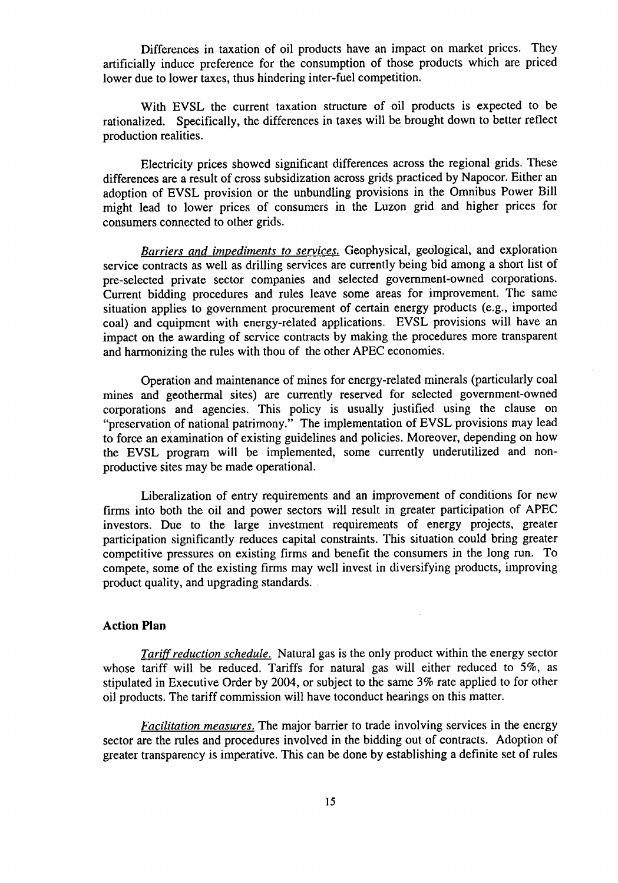Differences in taxation **o**f oil products have an impact on market prices. They artificially induce preference for the consumption of those products which are priced lower due to lower taxes, thus hindering inter-fuel competition.

With EVSL the current taxation structure of oil products is expected to be rationalized. Specifically, the differences in taxes will be brought down to better reflect production realities.

Electricity prices showed significant differences across the regional grids. These differences are a result of cross subsidization across grids practiced by Napocor. Either an adoption of EVSL provision or the unbundling provisions in the Omnibus Power Bill might lead to lower prices of consumers in the Luzon grid and higher prices for consumers connected to other grids.

*Barriers and imoediments to services.* Geophysical, geological, and exploration service contracts as well as drilling services are currently being bid among a short list of pre-selected private sector companies and selected government-owned corporations. Current bidding procedures and rules leave some areas for improvement. The same situation applies to government procurement of certain energy products (e.g., imported coal) and equipment with energy-related applications. EVSL provisions will have an impact on the awarding of service contracts by making the procedures more transparent and harmonizing the rules with thou of the other APEC economies.

Operation and maintenance of mines for energy-related minerals (particularly coal mines and geothermal sites) are currently reserved for selected government-owned corporations and agencies. This policy is usually justified using the clause on "preservation of national patrimony." The implementation of EVSL provisions may lead to force an examination of existing guidelines and policies. Moreover, depending on how the EVSL program will be implemented, some currently underutilized and nonproductive sites may be made operational.

Liberalization of entry requirements and an improvement of conditions for new firms into both the oil and power sectors will result in greater participation of *A*PEC investors. Due to the large investment requirements of energy projects, greater participation significantly reduces capital constraints. This situation could bring greater competitive pressures on existing firms and benefit the consumers in the long run. To compete, some of the existing firms may well invest in diversifying products, improving product quality, and upgrading standards.

#### **Action** P**lan**

*Tariff reduction schedule.* Natural gas is the only product within the energy sector whose tariff will be reduced. Tariffs for natural gas will either reduced to 5%, as stipulated in Executive Order by 2004, or subject to the same 3% rate applied to for other oil products. The tariff commission will have toconduct hearings on this matter.

*Facilitation measures.* **T**he major barrier to trade invol**v**ing services in the energy sector are the rules and procedures involved in the bidding out of contracts. Adoption of greater transparency is imperative. This can be done by establishing a definite set of rules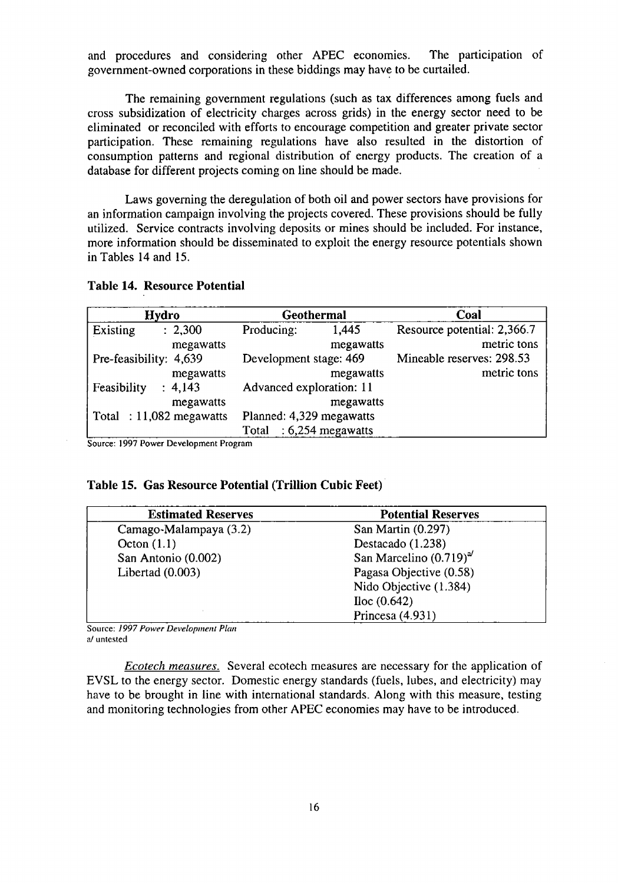and procedures and considering other APEC economies. The participation of government-owned corporations in these biddings may have to be curtailed.

The remaining government regulations (such as tax **d**ifferences among fuels and cross subsidization of electricity charges across grids) in the energy sector need to be eliminated or reconciled with efforts to encourage competition and greater private sector participation. These remaining regulations have also resulted in the distortion of consumption patterns and regional distribution of energy products. The creation of a database for different projects coming on line should be made.

Laws governing the deregulation of both oil and power sectors have provisions for an information campaign involving the projects covered. These provisions should be fully utilized. Service contracts involving deposits or mines should be included. For instance, more information should be disseminated to exploit the energy resource potentials shown in Tables 14 and 15.

#### **Table 14. Resource Po**t**entia**l

| Hydro                      | Geothermal               |                     | Coal                        |  |
|----------------------------|--------------------------|---------------------|-----------------------------|--|
| Existing<br>: 2,300        | Producing:               | 1,445               | Resource potential: 2,366.7 |  |
| megawatts                  |                          | megawatts           | metric tons                 |  |
| Pre-feasibility: 4,639     | Development stage: 469   |                     | Mineable reserves: 298.53   |  |
| megawatts                  |                          | megawatts           | metric tons                 |  |
| Feasibility<br>: 4,143     | Advanced exploration: 11 |                     |                             |  |
| megawatts                  |                          | megawatts           |                             |  |
| Total : $11,082$ megawatts | Planned: 4,329 megawatts |                     |                             |  |
|                            | Total                    | $: 6,254$ megawatts |                             |  |

Source: 1997 Power Development Program

## **Table 15. Gas Resource Potential** (**Tri**l**lion Cubic Feet)**

| <b>Estimated Reserves</b> | <b>Potential Reserves</b>   |
|---------------------------|-----------------------------|
| Camago-Malampaya (3.2)    | San Martin (0.297)          |
| Octon $(1.1)$             | Destacado (1.238)           |
| San Antonio (0.002)       | San Marcelino $(0.719)^{a}$ |
| Libertad $(0.003)$        | Pagasa Objective (0.58)     |
|                           | Nido Objective (1.384)      |
|                           | Iloc (0.642)                |
|                           | Princesa $(4.931)$          |

Source: *1997 Power Development Plan* a/ untested

*Ecotech measures.* Several ecotech measures are necessary for the application of EVSL to the energy sector. Domestic energy standards (fuels, lubes, and electricity) may have to be brought in line with international standards. Along with this measure, testing and monitoring technologies from other APEC economies may have to be introduced.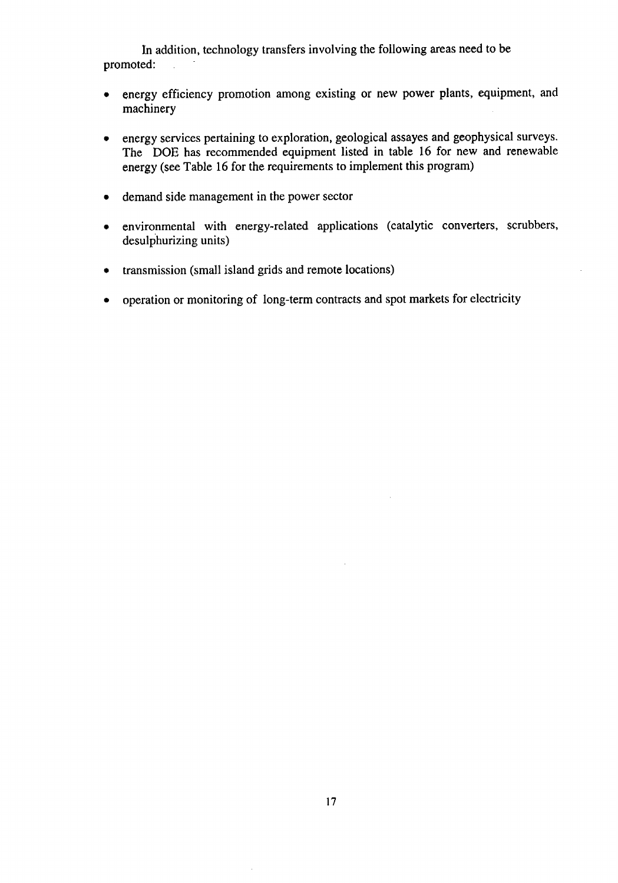In addition, technology transfers involving the following areas need to be ted: promoted:

- energy efficiency promotion among existin*g* or new power plants, equipment, and machinery
- **•** energy services pertaining to exploration, geological assayes and geophysical surveys. The DOE has recommended equipment listed in table 16 for new and renewable energy (see Table 16 for the requirements to implement this program)
- demand side management in the power sector
- environmental with energy-related applications (catalytic converters, scrubbers, desulphurizing units)
- transmission (small island grids and remote locations)
- operation or monitoring of long-term contracts and spot markets for electricity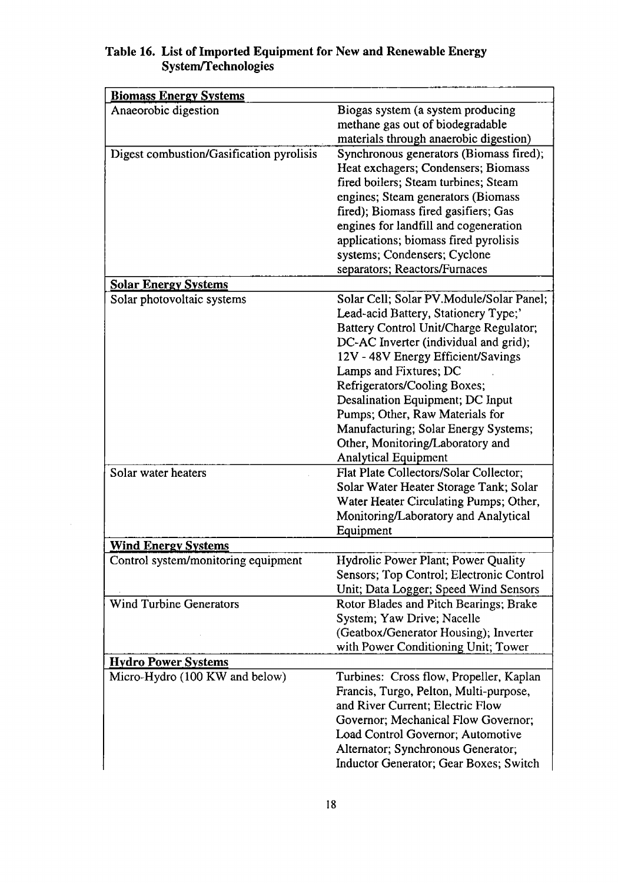| <b>Biomass Energy Systems</b><br>Anaeorobic digestion<br>Biogas system (a system producing<br>methane gas out of biodegradable<br>materials through anaerobic digestion)<br>Digest combustion/Gasification pyrolisis<br>Synchronous generators (Biomass fired);<br>Heat exchagers; Condensers; Biomass<br>fired boilers; Steam turbines; Steam<br>engines; Steam generators (Biomass<br>fired); Biomass fired gasifiers; Gas<br>engines for landfill and cogeneration<br>applications; biomass fired pyrolisis<br>systems; Condensers; Cyclone<br>separators; Reactors/Furnaces<br><b>Solar Energy Systems</b><br>Solar Cell; Solar PV.Module/Solar Panel;<br>Solar photovoltaic systems<br>Lead-acid Battery, Stationery Type;<br>Battery Control Unit/Charge Regulator;<br>DC-AC Inverter (individual and grid);<br>12V - 48V Energy Efficient/Savings<br>Lamps and Fixtures; DC<br>Refrigerators/Cooling Boxes;<br>Desalination Equipment; DC Input<br>Pumps; Other, Raw Materials for<br>Manufacturing; Solar Energy Systems;<br>Other, Monitoring/Laboratory and<br><b>Analytical Equipment</b><br>Flat Plate Collectors/Solar Collector;<br>Solar water heaters<br>Solar Water Heater Storage Tank; Solar<br>Water Heater Circulating Pumps; Other,<br>Monitoring/Laboratory and Analytical<br>Equipment<br><u>Wind Energy Systems</u><br>Hydrolic Power Plant; Power Quality<br>Control system/monitoring equipment<br>Sensors; Top Control; Electronic Control |
|------------------------------------------------------------------------------------------------------------------------------------------------------------------------------------------------------------------------------------------------------------------------------------------------------------------------------------------------------------------------------------------------------------------------------------------------------------------------------------------------------------------------------------------------------------------------------------------------------------------------------------------------------------------------------------------------------------------------------------------------------------------------------------------------------------------------------------------------------------------------------------------------------------------------------------------------------------------------------------------------------------------------------------------------------------------------------------------------------------------------------------------------------------------------------------------------------------------------------------------------------------------------------------------------------------------------------------------------------------------------------------------------------------------------------------------------------------------------|
|                                                                                                                                                                                                                                                                                                                                                                                                                                                                                                                                                                                                                                                                                                                                                                                                                                                                                                                                                                                                                                                                                                                                                                                                                                                                                                                                                                                                                                                                        |
|                                                                                                                                                                                                                                                                                                                                                                                                                                                                                                                                                                                                                                                                                                                                                                                                                                                                                                                                                                                                                                                                                                                                                                                                                                                                                                                                                                                                                                                                        |
|                                                                                                                                                                                                                                                                                                                                                                                                                                                                                                                                                                                                                                                                                                                                                                                                                                                                                                                                                                                                                                                                                                                                                                                                                                                                                                                                                                                                                                                                        |
|                                                                                                                                                                                                                                                                                                                                                                                                                                                                                                                                                                                                                                                                                                                                                                                                                                                                                                                                                                                                                                                                                                                                                                                                                                                                                                                                                                                                                                                                        |
|                                                                                                                                                                                                                                                                                                                                                                                                                                                                                                                                                                                                                                                                                                                                                                                                                                                                                                                                                                                                                                                                                                                                                                                                                                                                                                                                                                                                                                                                        |
|                                                                                                                                                                                                                                                                                                                                                                                                                                                                                                                                                                                                                                                                                                                                                                                                                                                                                                                                                                                                                                                                                                                                                                                                                                                                                                                                                                                                                                                                        |
|                                                                                                                                                                                                                                                                                                                                                                                                                                                                                                                                                                                                                                                                                                                                                                                                                                                                                                                                                                                                                                                                                                                                                                                                                                                                                                                                                                                                                                                                        |
|                                                                                                                                                                                                                                                                                                                                                                                                                                                                                                                                                                                                                                                                                                                                                                                                                                                                                                                                                                                                                                                                                                                                                                                                                                                                                                                                                                                                                                                                        |
|                                                                                                                                                                                                                                                                                                                                                                                                                                                                                                                                                                                                                                                                                                                                                                                                                                                                                                                                                                                                                                                                                                                                                                                                                                                                                                                                                                                                                                                                        |
|                                                                                                                                                                                                                                                                                                                                                                                                                                                                                                                                                                                                                                                                                                                                                                                                                                                                                                                                                                                                                                                                                                                                                                                                                                                                                                                                                                                                                                                                        |
|                                                                                                                                                                                                                                                                                                                                                                                                                                                                                                                                                                                                                                                                                                                                                                                                                                                                                                                                                                                                                                                                                                                                                                                                                                                                                                                                                                                                                                                                        |
|                                                                                                                                                                                                                                                                                                                                                                                                                                                                                                                                                                                                                                                                                                                                                                                                                                                                                                                                                                                                                                                                                                                                                                                                                                                                                                                                                                                                                                                                        |
|                                                                                                                                                                                                                                                                                                                                                                                                                                                                                                                                                                                                                                                                                                                                                                                                                                                                                                                                                                                                                                                                                                                                                                                                                                                                                                                                                                                                                                                                        |
|                                                                                                                                                                                                                                                                                                                                                                                                                                                                                                                                                                                                                                                                                                                                                                                                                                                                                                                                                                                                                                                                                                                                                                                                                                                                                                                                                                                                                                                                        |
|                                                                                                                                                                                                                                                                                                                                                                                                                                                                                                                                                                                                                                                                                                                                                                                                                                                                                                                                                                                                                                                                                                                                                                                                                                                                                                                                                                                                                                                                        |
|                                                                                                                                                                                                                                                                                                                                                                                                                                                                                                                                                                                                                                                                                                                                                                                                                                                                                                                                                                                                                                                                                                                                                                                                                                                                                                                                                                                                                                                                        |
|                                                                                                                                                                                                                                                                                                                                                                                                                                                                                                                                                                                                                                                                                                                                                                                                                                                                                                                                                                                                                                                                                                                                                                                                                                                                                                                                                                                                                                                                        |
|                                                                                                                                                                                                                                                                                                                                                                                                                                                                                                                                                                                                                                                                                                                                                                                                                                                                                                                                                                                                                                                                                                                                                                                                                                                                                                                                                                                                                                                                        |
|                                                                                                                                                                                                                                                                                                                                                                                                                                                                                                                                                                                                                                                                                                                                                                                                                                                                                                                                                                                                                                                                                                                                                                                                                                                                                                                                                                                                                                                                        |
|                                                                                                                                                                                                                                                                                                                                                                                                                                                                                                                                                                                                                                                                                                                                                                                                                                                                                                                                                                                                                                                                                                                                                                                                                                                                                                                                                                                                                                                                        |
|                                                                                                                                                                                                                                                                                                                                                                                                                                                                                                                                                                                                                                                                                                                                                                                                                                                                                                                                                                                                                                                                                                                                                                                                                                                                                                                                                                                                                                                                        |
|                                                                                                                                                                                                                                                                                                                                                                                                                                                                                                                                                                                                                                                                                                                                                                                                                                                                                                                                                                                                                                                                                                                                                                                                                                                                                                                                                                                                                                                                        |
|                                                                                                                                                                                                                                                                                                                                                                                                                                                                                                                                                                                                                                                                                                                                                                                                                                                                                                                                                                                                                                                                                                                                                                                                                                                                                                                                                                                                                                                                        |
|                                                                                                                                                                                                                                                                                                                                                                                                                                                                                                                                                                                                                                                                                                                                                                                                                                                                                                                                                                                                                                                                                                                                                                                                                                                                                                                                                                                                                                                                        |
|                                                                                                                                                                                                                                                                                                                                                                                                                                                                                                                                                                                                                                                                                                                                                                                                                                                                                                                                                                                                                                                                                                                                                                                                                                                                                                                                                                                                                                                                        |
|                                                                                                                                                                                                                                                                                                                                                                                                                                                                                                                                                                                                                                                                                                                                                                                                                                                                                                                                                                                                                                                                                                                                                                                                                                                                                                                                                                                                                                                                        |
|                                                                                                                                                                                                                                                                                                                                                                                                                                                                                                                                                                                                                                                                                                                                                                                                                                                                                                                                                                                                                                                                                                                                                                                                                                                                                                                                                                                                                                                                        |
|                                                                                                                                                                                                                                                                                                                                                                                                                                                                                                                                                                                                                                                                                                                                                                                                                                                                                                                                                                                                                                                                                                                                                                                                                                                                                                                                                                                                                                                                        |
|                                                                                                                                                                                                                                                                                                                                                                                                                                                                                                                                                                                                                                                                                                                                                                                                                                                                                                                                                                                                                                                                                                                                                                                                                                                                                                                                                                                                                                                                        |
|                                                                                                                                                                                                                                                                                                                                                                                                                                                                                                                                                                                                                                                                                                                                                                                                                                                                                                                                                                                                                                                                                                                                                                                                                                                                                                                                                                                                                                                                        |
|                                                                                                                                                                                                                                                                                                                                                                                                                                                                                                                                                                                                                                                                                                                                                                                                                                                                                                                                                                                                                                                                                                                                                                                                                                                                                                                                                                                                                                                                        |
|                                                                                                                                                                                                                                                                                                                                                                                                                                                                                                                                                                                                                                                                                                                                                                                                                                                                                                                                                                                                                                                                                                                                                                                                                                                                                                                                                                                                                                                                        |
| Unit; Data Logger; Speed Wind Sensors<br>Wind Turbine Generators<br>Rotor Blades and Pitch Bearings; Brake                                                                                                                                                                                                                                                                                                                                                                                                                                                                                                                                                                                                                                                                                                                                                                                                                                                                                                                                                                                                                                                                                                                                                                                                                                                                                                                                                             |
| System; Yaw Drive; Nacelle                                                                                                                                                                                                                                                                                                                                                                                                                                                                                                                                                                                                                                                                                                                                                                                                                                                                                                                                                                                                                                                                                                                                                                                                                                                                                                                                                                                                                                             |
| (Geatbox/Generator Housing); Inverter                                                                                                                                                                                                                                                                                                                                                                                                                                                                                                                                                                                                                                                                                                                                                                                                                                                                                                                                                                                                                                                                                                                                                                                                                                                                                                                                                                                                                                  |
| with Power Conditioning Unit; Tower                                                                                                                                                                                                                                                                                                                                                                                                                                                                                                                                                                                                                                                                                                                                                                                                                                                                                                                                                                                                                                                                                                                                                                                                                                                                                                                                                                                                                                    |
| <b>Hydro Power Systems</b>                                                                                                                                                                                                                                                                                                                                                                                                                                                                                                                                                                                                                                                                                                                                                                                                                                                                                                                                                                                                                                                                                                                                                                                                                                                                                                                                                                                                                                             |
| Micro-Hydro (100 KW and below)<br>Turbines: Cross flow, Propeller, Kaplan                                                                                                                                                                                                                                                                                                                                                                                                                                                                                                                                                                                                                                                                                                                                                                                                                                                                                                                                                                                                                                                                                                                                                                                                                                                                                                                                                                                              |
| Francis, Turgo, Pelton, Multi-purpose,                                                                                                                                                                                                                                                                                                                                                                                                                                                                                                                                                                                                                                                                                                                                                                                                                                                                                                                                                                                                                                                                                                                                                                                                                                                                                                                                                                                                                                 |
| and River Current; Electric Flow                                                                                                                                                                                                                                                                                                                                                                                                                                                                                                                                                                                                                                                                                                                                                                                                                                                                                                                                                                                                                                                                                                                                                                                                                                                                                                                                                                                                                                       |
| Governor; Mechanical Flow Governor;                                                                                                                                                                                                                                                                                                                                                                                                                                                                                                                                                                                                                                                                                                                                                                                                                                                                                                                                                                                                                                                                                                                                                                                                                                                                                                                                                                                                                                    |
| Load Control Governor; Automotive                                                                                                                                                                                                                                                                                                                                                                                                                                                                                                                                                                                                                                                                                                                                                                                                                                                                                                                                                                                                                                                                                                                                                                                                                                                                                                                                                                                                                                      |
| Alternator; Synchronous Generator;                                                                                                                                                                                                                                                                                                                                                                                                                                                                                                                                                                                                                                                                                                                                                                                                                                                                                                                                                                                                                                                                                                                                                                                                                                                                                                                                                                                                                                     |
| Inductor Generator; Gear Boxes; Switch                                                                                                                                                                                                                                                                                                                                                                                                                                                                                                                                                                                                                                                                                                                                                                                                                                                                                                                                                                                                                                                                                                                                                                                                                                                                                                                                                                                                                                 |

# **Table 16. List of Imported Eq**u**ipm**e**nt for New and R**e**newable Energy System***/***Technologies**